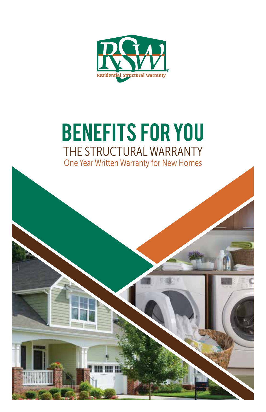

# benefits for you THE STRUCTURAL WARRANTY One Year Written Warranty for New Homes

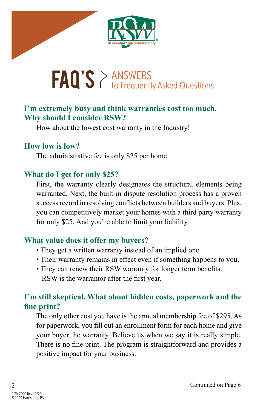

# $\text{FAQ'S} \geq \text{ANSWERS}$  to Frequently Asked Questions

## **I'm extremely busy and think warranties cost too much. Why should I consider RSW?**

How about the lowest cost warranty in the Industry!

### **How low is low?**

The administrative fee is only \$25 per home.

### **What do I get for only \$25?**

First, the warranty clearly designates the structural elements being warranted. Next, the built-in dispute resolution process has a proven success record in resolving conflicts between builders and buyers. Plus, you can competitively market your homes with a third party warranty for only \$25. And you're able to limit your liability.

## **What value does it offer my buyers?**

- They get a written warranty instead of an implied one.
- Their warranty remains in effect even if something happens to you.
- They can renew their RSW warranty for longer term benefits. RSW is the warrantor after the first year.

# **I'm still skeptical. What about hidden costs, paperwork and the fine print?**

The only other cost you have is the annual membership fee of \$295. As for paperwork, you fill out an enrollment form for each home and give your buyer the warranty. Believe us when we say it is really simple. There is no fine print. The program is straightforward and provides a positive impact for your business.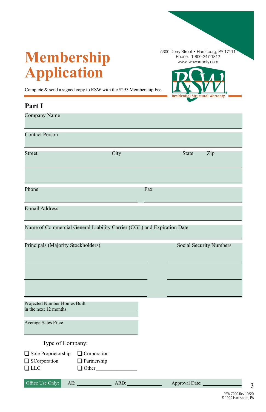# **Membership Application**

5300 Derry Street • Harrisburg, PA 17111 Phone: 1-800-247-1812 www.rwcwarranty.com

 $C + 1$ 

hural Warrants

Complete & send a signed copy to RSW with the \$295 Membership Fee.

| Part I                                                                 |                                                   |      |     |                                |     |
|------------------------------------------------------------------------|---------------------------------------------------|------|-----|--------------------------------|-----|
| Company Name                                                           |                                                   |      |     |                                |     |
| <b>Contact Person</b>                                                  |                                                   |      |     |                                |     |
| Street                                                                 |                                                   | City |     | <b>State</b>                   | Zip |
| Phone                                                                  |                                                   |      | Fax |                                |     |
| E-mail Address                                                         |                                                   |      |     |                                |     |
| Name of Commercial General Liability Carrier (CGL) and Expiration Date |                                                   |      |     |                                |     |
| Principals (Majority Stockholders)                                     |                                                   |      |     | <b>Social Security Numbers</b> |     |
|                                                                        |                                                   |      |     |                                |     |
| Projected Number Homes Built<br>in the next 12 months                  |                                                   |      |     |                                |     |
| Average Sales Price                                                    |                                                   |      |     |                                |     |
| Type of Company:                                                       |                                                   |      |     |                                |     |
| Sole Proprietorship<br>SCorporation<br>$\Box$ LLC                      | Corporation<br>$\Box$ Partnership<br>$\Box$ Other |      |     |                                |     |
| Office Use Only:<br>AE:                                                |                                                   | ARD: |     | Approval Date:                 |     |

3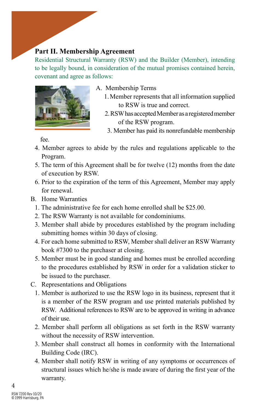### **Part II. Membership Agreement**

Residential Structural Warranty (RSW) and the Builder (Member), intending to be legally bound, in consideration of the mutual promises contained herein, covenant and agree as follows:



- A. Membership Terms
	- 1. Member represents that all information supplied to RSW is true and correct.
	- 2. RSW has accepted Member as a registered member of the RSW program.
		- 3. Member has paid its nonrefundable membership

fee.

- 4. Member agrees to abide by the rules and regulations applicable to the Program.
- 5. The term of this Agreement shall be for twelve (12) months from the date of execution by RSW.
- 6. Prior to the expiration of the term of this Agreement, Member may apply for renewal.
- B. Home Warranties
	- 1. The administrative fee for each home enrolled shall be \$25.00.
	- 2. The RSW Warranty is not available for condominiums.
	- 3. Member shall abide by procedures established by the program including submitting homes within 30 days of closing.
	- 4. For each home submitted to RSW, Member shall deliver an RSW Warranty book #7300 to the purchaser at closing.
	- 5. Member must be in good standing and homes must be enrolled according to the procedures established by RSW in order for a validation sticker to be issued to the purchaser.
- C. Representations and Obligations
	- 1. Member is authorized to use the RSW logo in its business, represent that it is a member of the RSW program and use printed materials published by RSW. Additional references to RSW are to be approved in writing in advance of their use.
	- 2. Member shall perform all obligations as set forth in the RSW warranty without the necessity of RSW intervention.
	- 3. Member shall construct all homes in conformity with the International Building Code (IRC).
	- 4. Member shall notify RSW in writing of any symptoms or occurrences of structural issues which he/she is made aware of during the first year of the warranty.

4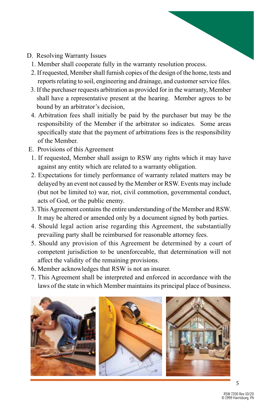- D. Resolving Warranty Issues
	- 1. Member shall cooperate fully in the warranty resolution process.
	- 2. If requested, Member shall furnish copies of the design of the home, tests and reports relating to soil, engineering and drainage, and customer service files.
	- 3. If the purchaser requests arbitration as provided for in the warranty, Member shall have a representative present at the hearing. Member agrees to be bound by an arbitrator's decision,
	- 4. Arbitration fees shall initially be paid by the purchaser but may be the responsibility of the Member if the arbitrator so indicates. Some areas specifically state that the payment of arbitrations fees is the responsibility of the Member.
- E. Provisions of this Agreement
	- 1. If requested, Member shall assign to RSW any rights which it may have against any entity which are related to a warranty obligation.
	- 2. Expectations for timely performance of warranty related matters may be delayed by an event not caused by the Member or RSW. Events may include (but not be limited to) war, riot, civil commotion, governmental conduct, acts of God, or the public enemy.
	- 3. This Agreement contains the entire understanding of the Member and RSW. It may be altered or amended only by a document signed by both parties.
	- 4. Should legal action arise regarding this Agreement, the substantially prevailing party shall be reimbursed for reasonable attorney fees.
	- 5. Should any provision of this Agreement be determined by a court of competent jurisdiction to be unenforceable, that determination will not affect the validity of the remaining provisions.
	- 6. Member acknowledges that RSW is not an insurer.
	- 7. This Agreement shall be interpreted and enforced in accordance with the laws of the state in which Member maintains its principal place of business.

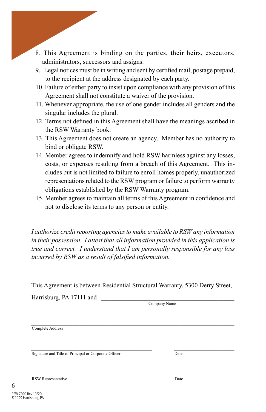- 8. This Agreement is binding on the parties, their heirs, executors, administrators, successors and assigns.
- 9. Legal notices must be in writing and sent by certified mail, postage prepaid, to the recipient at the address designated by each party.
- 10. Failure of either party to insist upon compliance with any provision of this Agreement shall not constitute a waiver of the provision.
- 11. Whenever appropriate, the use of one gender includes all genders and the singular includes the plural.
- 12. Terms not defined in this Agreement shall have the meanings ascribed in the RSW Warranty book.
- 13. This Agreement does not create an agency. Member has no authority to bind or obligate RSW.
- 14. Member agrees to indemnify and hold RSW harmless against any losses, costs, or expenses resulting from a breach of this Agreement. This includes but is not limited to failure to enroll homes properly, unauthorized representations related to the RSW program or failure to perform warranty obligations established by the RSW Warranty program.
- 15. Member agrees to maintain all terms of this Agreement in confidence and not to disclose its terms to any person or entity.

*I authorize credit reporting agencies to make available to RSW any information in their possession. I attest that all information provided in this application is true and correct. I understand that I am personally responsible for any loss incurred by RSW as a result of falsified information.*

This Agreement is between Residential Structural Warranty, 5300 Derry Street,

\_\_\_\_\_\_\_\_\_\_\_\_\_\_\_\_\_\_\_\_\_\_\_\_\_\_\_\_\_\_\_\_\_\_\_\_\_\_ \_\_\_\_\_\_\_\_\_\_\_\_\_\_\_\_\_\_\_

\_\_\_\_\_\_\_\_\_\_\_\_\_\_\_\_\_\_\_\_\_\_\_\_\_\_\_\_\_\_\_\_\_\_\_\_\_\_ \_\_\_\_\_\_\_\_\_\_\_\_\_\_\_\_\_\_\_

Harrisburg, PA 17111 and

Company Name

\_\_\_\_\_\_\_\_\_\_\_\_\_\_\_\_\_\_\_\_\_\_\_\_\_\_\_\_\_\_\_\_\_\_\_\_\_\_\_\_\_\_\_\_\_\_\_\_\_\_\_\_\_\_\_\_\_\_\_\_\_\_\_\_ Complete Address

Signature and Title of Principal or Corporate Officer Date

RSW Representative Date

6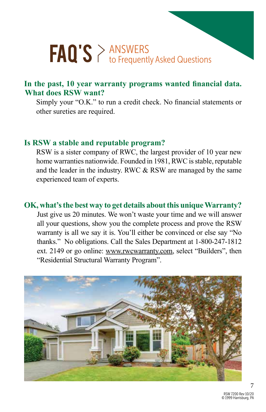# $\text{FAQ'S} \geq \text{ANSWERS}$  to Frequently Asked Questions

### **In the past, 10 year warranty programs wanted financial data. What does RSW want?**

Simply your "O.K." to run a credit check. No financial statements or other sureties are required.

#### **Is RSW a stable and reputable program?**

RSW is a sister company of RWC, the largest provider of 10 year new home warranties nationwide. Founded in 1981, RWC is stable, reputable and the leader in the industry. RWC & RSW are managed by the same experienced team of experts.

#### **OK, what's the best way to get details about this unique Warranty?**

Just give us 20 minutes. We won't waste your time and we will answer all your questions, show you the complete process and prove the RSW warranty is all we say it is. You'll either be convinced or else say "No thanks." No obligations. Call the Sales Department at 1-800-247-1812 ext. 2149 or go online: www.rwcwarranty.com, select "Builders", then "Residential Structural Warranty Program".